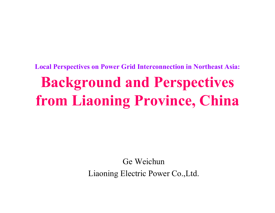**Local Perspectives on Power Grid Interconnection in Northeast Asia:**

# **Background and Perspectives from Liaoning Province, China**

Ge WeichunLiaoning Electric Power Co.,Ltd.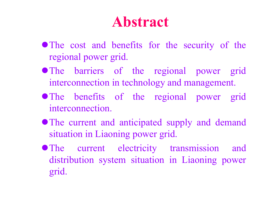# **Abstract**

- The cost and benefits for the security of the regional power grid.
- The barriers of the regional power grid interconnection in technology and management.
- The benefits of the regional power grid interconnection.
- The current and anticipated supply and demand situation in Liaoning power grid.
- The current electricity transmission and distribution system situation in Liaoning power grid.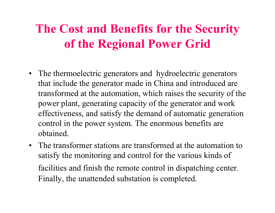# **The Cost and Benefits for the Security of the Regional Power Grid**

- The thermoelectric generators and hydroelectric generators that include the generator made in China and introduced are transformed at the automation, which raises the security of the power plant, generating capacity of the generator and work effectiveness, and satisfy the demand of automatic generation control in the power system. The enormous benefits are obtained.
- The transformer stations are transformed at the automation to satisfy the monitoring and control for the various kinds of facilities and finish the remote control in dispatching center. Finally, the unattended substation is completed.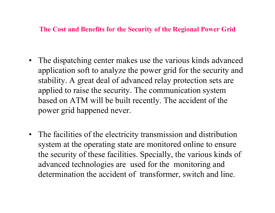**The Cost and Benefits for the Security of the Regional Power Grid**

- $\bullet$  The dispatching center makes use the various kinds advanced application soft to analyze the power grid for the security and stability. A great deal of advanced relay protection sets are applied to raise the security. The communication system based on ATM will be built recently. The accident of the power grid happened never.
- $\bullet$  The facilities of the electricity transmission and distribution system at the operating state are monitored online to ensure the security of these facilities. Specially, the various kinds of advanced technologies are used for the monitoring and determination the accident of transformer, switch and line.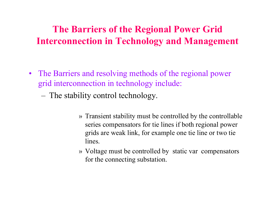## **The Barriers of the Regional Power Grid Interconnection in Technology and Management**

- $\bullet$ The Barriers and resolving methods of the regional power grid interconnection in technology include:
	- The stability control technology.
		- » Transient stability must be controlled by the controllable series compensators for tie lines if both regional power grids are weak link, for example one tie line or two tie lines.
		- » Voltage must be controlled by static var compensators for the connecting substation.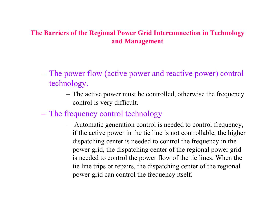### **The Barriers of the Regional Power Grid Interconnection in Technology and Management**

- The power flow (active power and reactive power) control technology.
	- The active power must be controlled, otherwise the frequency control is very difficult.
- The frequency control technology
	- Automatic generation control is needed to control frequency, if the active power in the tie line is not controllable, the higher dispatching center is needed to control the frequency in the power grid, the dispatching center of the regional power grid is needed to control the power flow of the tie lines. When the tie line trips or repairs, the dispatching center of the regional power grid can control the frequency itself.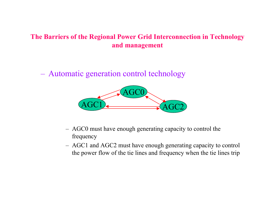### **The Barriers of the Regional Power Grid Interconnection in Technology and management**

– Automatic generation control technology



- AGC0 must have enough generating capacity to control the frequency
- AGC1 and AGC2 must have enough generating capacity to control the power flow of the tie lines and frequency when the tie lines trip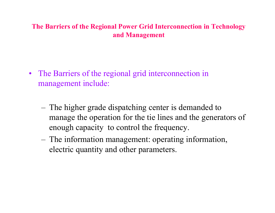### **The Barriers of the Regional Power Grid Interconnection in Technology and Management**

- The Barriers of the regional grid interconnection in management include:
	- The higher grade dispatching center is demanded to manage the operation for the tie lines and the generators of enough capacity to control the frequency.
	- The information management: operating information, electric quantity and other parameters.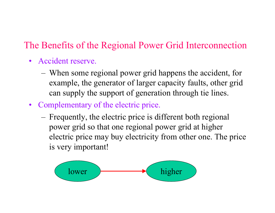### The Benefits of the Regional Power Grid Interconnection

- •Accident reserve.
	- When some regional power grid happens the accident, for example, the generator of larger capacity faults, other grid can supply the support of generation through tie lines.
- Complementary of the electric price.
	- Frequently, the electric price is different both regional power grid so that one regional power grid at higher electric price may buy electricity from other one. The price is very important!

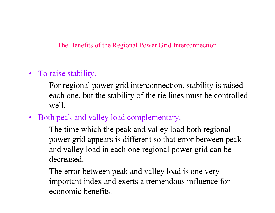The Benefits of the Regional Power Grid Interconnection

- To raise stability.
	- For regional power grid interconnection, stability is raised each one, but the stability of the tie lines must be controlled well.
- Both peak and valley load complementary.
	- The time which the peak and valley load both regional power grid appears is different so that error between peak and valley load in each one regional power grid can be decreased.
	- The error between peak and valley load is one very important index and exerts a tremendous influence for economic benefits.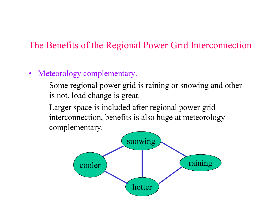### The Benefits of the Regional Power Grid Interconnection

#### $\bullet$ Meteorology complementary.

- Some regional power grid is raining or snowing and other is not, load change is great.
- Larger space is included after regional power grid interconnection, benefits is also huge at meteorology complementary.

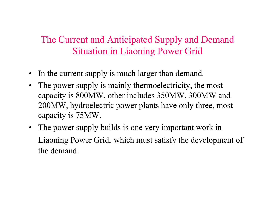## The Current and Anticipated Supply and Demand Situation in Liaoning Power Grid

- $\bullet$ In the current supply is much larger than demand.
- $\bullet$ The power supply is mainly thermoelectricity, the most capacity is 800MW, other includes 350MW, 300MW and 200MW, hydroelectric power plants have only three, most capacity is 75MW.
- $\bullet$ The power supply builds is one very important work in Liaoning Power Grid, which must satisfy the development of the demand.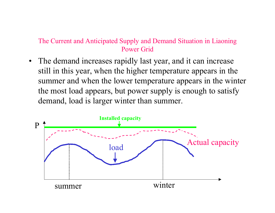### The Current and Anticipated Supply and Demand Situation in Liaoning Power Grid

 $\bullet$  The demand increases rapidly last year, and it can increase still in this year, when the higher temperature appears in the summer and when the lower temperature appears in the winter the most load appears, but power supply is enough to satisfy demand, load is larger winter than summer.

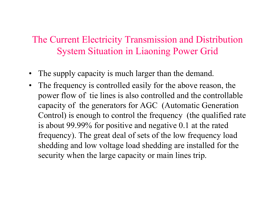- $\bullet$ The supply capacity is much larger than the demand.
- $\bullet$ The frequency is controlled easily for the above reason, the power flow of tie lines is also controlled and the controllable capacity of the generators for AGC (Automatic Generation Control) is enough to control the frequency (the qualified rate is about 99.99% for positive and negative 0.1 at the rated frequency). The great deal of sets of the low frequency load shedding and low voltage load shedding are installed for the security when the large capacity or main lines trip.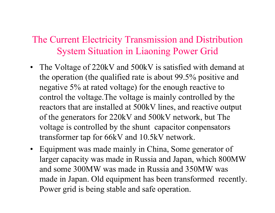- The Voltage of 220kV and 500kV is satisfied with demand at the operation (the qualified rate is about 99.5% positive and negative 5% at rated voltage) for the enough reactive to control the voltage.The voltage is mainly controlled by the reactors that are installed at 500kV lines, and reactive output of the generators for 220kV and 500kV network, but The voltage is controlled by the shunt capacitor conpensators transformer tap for 66kV and 10.5kV network.
- Equipment was made mainly in China, Some generator of larger capacity was made in Russia and Japan, which 800MW and some 300MW was made in Russia and 350MW was made in Japan. Old equipment has been transformed recently. Power grid is being stable and safe operation.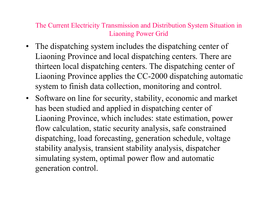- The dispatching system includes the dispatching center of Liaoning Province and local dispatching centers. There are thirteen local dispatching centers. The dispatching center of Liaoning Province applies the CC-2000 dispatching automatic system to finish data collection, monitoring and control.
- Software on line for security, stability, economic and market has been studied and applied in dispatching center of Liaoning Province, which includes: state estimation, power flow calculation, static security analysis, safe constrained dispatching, load forecasting, generation schedule, voltage stability analysis, transient stability analysis, dispatcher simulating system, optimal power flow and automatic generation control.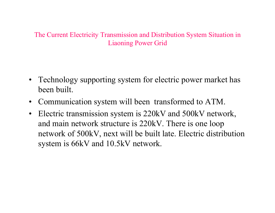- Technology supporting system for electric power market has been built.
- Communication system will been transformed to ATM.
- $\bullet$  Electric transmission system is 220kV and 500kV network, and main network structure is 220kV. There is one loop network of 500kV, next will be built late. Electric distribution system is 66kV and 10.5kV network.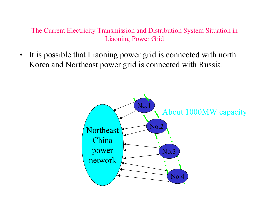$\bullet$  It is possible that Liaoning power grid is connected with north Korea and Northeast power grid is connected with Russia.

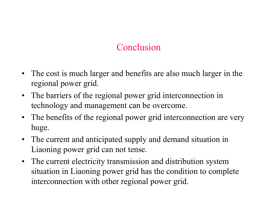## Conclusion

- The cost is much larger and benefits are also much larger in the regional power grid.
- The barriers of the regional power grid interconnection in technology and management can be overcome.
- The benefits of the regional power grid interconnection are very huge.
- The current and anticipated supply and demand situation in Liaoning power grid can not tense.
- The current electricity transmission and distribution system situation in Liaoning power grid has the condition to complete interconnection with other regional power grid.